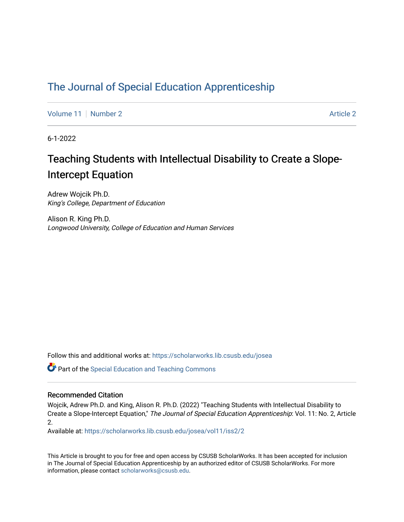## [The Journal of Special Education Apprenticeship](https://scholarworks.lib.csusb.edu/josea)

[Volume 11](https://scholarworks.lib.csusb.edu/josea/vol11) | [Number 2](https://scholarworks.lib.csusb.edu/josea/vol11/iss2) [Article 2](https://scholarworks.lib.csusb.edu/josea/vol11/iss2/2) Article 2 Article 2 Article 2 Article 2 Article 2 Article 2 Article 2 Article 2

6-1-2022

# Teaching Students with Intellectual Disability to Create a Slope-Intercept Equation

Adrew Wojcik Ph.D. King's College, Department of Education

Alison R. King Ph.D. Longwood University, College of Education and Human Services

Follow this and additional works at: [https://scholarworks.lib.csusb.edu/josea](https://scholarworks.lib.csusb.edu/josea?utm_source=scholarworks.lib.csusb.edu%2Fjosea%2Fvol11%2Fiss2%2F2&utm_medium=PDF&utm_campaign=PDFCoverPages) 

Part of the [Special Education and Teaching Commons](https://network.bepress.com/hgg/discipline/801?utm_source=scholarworks.lib.csusb.edu%2Fjosea%2Fvol11%2Fiss2%2F2&utm_medium=PDF&utm_campaign=PDFCoverPages) 

#### Recommended Citation

Wojcik, Adrew Ph.D. and King, Alison R. Ph.D. (2022) "Teaching Students with Intellectual Disability to Create a Slope-Intercept Equation," The Journal of Special Education Apprenticeship: Vol. 11: No. 2, Article 2.

Available at: [https://scholarworks.lib.csusb.edu/josea/vol11/iss2/2](https://scholarworks.lib.csusb.edu/josea/vol11/iss2/2?utm_source=scholarworks.lib.csusb.edu%2Fjosea%2Fvol11%2Fiss2%2F2&utm_medium=PDF&utm_campaign=PDFCoverPages)

This Article is brought to you for free and open access by CSUSB ScholarWorks. It has been accepted for inclusion in The Journal of Special Education Apprenticeship by an authorized editor of CSUSB ScholarWorks. For more information, please contact [scholarworks@csusb.edu.](mailto:scholarworks@csusb.edu)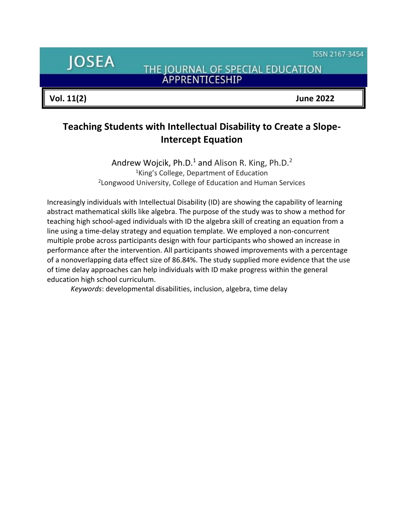ISSN 2167-3454

**JOSEA** 

THE JOURNAL OF SPECIAL EDUCATION **ÁPPRENTICESHIP** 

**Vol. 11(2) June 2022**

## **Teaching Students with Intellectual Disability to Create a Slope-Intercept Equation**

Andrew Wojcik, Ph.D.<sup>1</sup> and Alison R. King, Ph.D.<sup>2</sup> <sup>1</sup>King's College, Department of Education <sup>2</sup> Longwood University, College of Education and Human Services

Increasingly individuals with Intellectual Disability (ID) are showing the capability of learning abstract mathematical skills like algebra. The purpose of the study was to show a method for teaching high school-aged individuals with ID the algebra skill of creating an equation from a line using a time-delay strategy and equation template. We employed a non-concurrent multiple probe across participants design with four participants who showed an increase in performance after the intervention. All participants showed improvements with a percentage of a nonoverlapping data effect size of 86.84%. The study supplied more evidence that the use of time delay approaches can help individuals with ID make progress within the general education high school curriculum.

*Keywords*: developmental disabilities, inclusion, algebra, time delay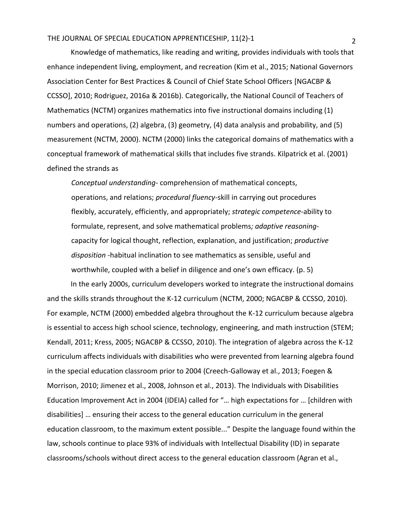Knowledge of mathematics, like reading and writing, provides individuals with tools that enhance independent living, employment, and recreation (Kim et al., 2015; National Governors Association Center for Best Practices & Council of Chief State School Officers [NGACBP & CCSSO], 2010; Rodriguez, 2016a & 2016b). Categorically, the National Council of Teachers of Mathematics (NCTM) organizes mathematics into five instructional domains including (1) numbers and operations, (2) algebra, (3) geometry, (4) data analysis and probability, and (5) measurement (NCTM, 2000). NCTM (2000) links the categorical domains of mathematics with a conceptual framework of mathematical skills that includes five strands. Kilpatrick et al. (2001) defined the strands as

*Conceptual understanding-* comprehension of mathematical concepts, operations, and relations; *procedural fluency-*skill in carrying out procedures flexibly, accurately, efficiently, and appropriately; *strategic competence-*ability to formulate, represent, and solve mathematical problems*; adaptive reasoning*capacity for logical thought, reflection, explanation, and justification; *productive disposition* -habitual inclination to see mathematics as sensible, useful and worthwhile, coupled with a belief in diligence and one's own efficacy. (p. 5)

In the early 2000s, curriculum developers worked to integrate the instructional domains and the skills strands throughout the K-12 curriculum (NCTM, 2000; NGACBP & CCSSO, 2010). For example, NCTM (2000) embedded algebra throughout the K-12 curriculum because algebra is essential to access high school science, technology, engineering, and math instruction (STEM; Kendall, 2011; Kress, 2005; NGACBP & CCSSO, 2010). The integration of algebra across the K-12 curriculum affects individuals with disabilities who were prevented from learning algebra found in the special education classroom prior to 2004 (Creech-Galloway et al., 2013; Foegen & Morrison, 2010; Jimenez et al., 2008, Johnson et al., 2013). The Individuals with Disabilities Education Improvement Act in 2004 (IDEIA) called for "… high expectations for … [children with disabilities] … ensuring their access to the general education curriculum in the general education classroom, to the maximum extent possible..." Despite the language found within the law, schools continue to place 93% of individuals with Intellectual Disability (ID) in separate classrooms/schools without direct access to the general education classroom (Agran et al.,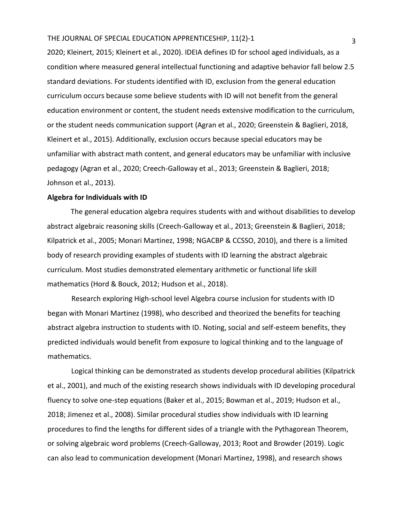2020; Kleinert, 2015; Kleinert et al., 2020). IDEIA defines ID for school aged individuals, as a condition where measured general intellectual functioning and adaptive behavior fall below 2.5 standard deviations. For students identified with ID, exclusion from the general education curriculum occurs because some believe students with ID will not benefit from the general education environment or content, the student needs extensive modification to the curriculum, or the student needs communication support (Agran et al., 2020; Greenstein & Baglieri, 2018, Kleinert et al., 2015). Additionally, exclusion occurs because special educators may be unfamiliar with abstract math content, and general educators may be unfamiliar with inclusive pedagogy (Agran et al., 2020; Creech-Galloway et al., 2013; Greenstein & Baglieri, 2018; Johnson et al., 2013).

#### **Algebra for Individuals with ID**

The general education algebra requires students with and without disabilities to develop abstract algebraic reasoning skills (Creech-Galloway et al., 2013; Greenstein & Baglieri, 2018; Kilpatrick et al., 2005; Monari Martinez, 1998; NGACBP & CCSSO, 2010), and there is a limited body of research providing examples of students with ID learning the abstract algebraic curriculum. Most studies demonstrated elementary arithmetic or functional life skill mathematics (Hord & Bouck, 2012; Hudson et al., 2018).

Research exploring High-school level Algebra course inclusion for students with ID began with Monari Martinez (1998), who described and theorized the benefits for teaching abstract algebra instruction to students with ID. Noting, social and self-esteem benefits, they predicted individuals would benefit from exposure to logical thinking and to the language of mathematics.

Logical thinking can be demonstrated as students develop procedural abilities (Kilpatrick et al., 2001), and much of the existing research shows individuals with ID developing procedural fluency to solve one-step equations (Baker et al., 2015; Bowman et al., 2019; Hudson et al., 2018; Jimenez et al., 2008). Similar procedural studies show individuals with ID learning procedures to find the lengths for different sides of a triangle with the Pythagorean Theorem, or solving algebraic word problems (Creech-Galloway, 2013; Root and Browder (2019). Logic can also lead to communication development (Monari Martinez, 1998), and research shows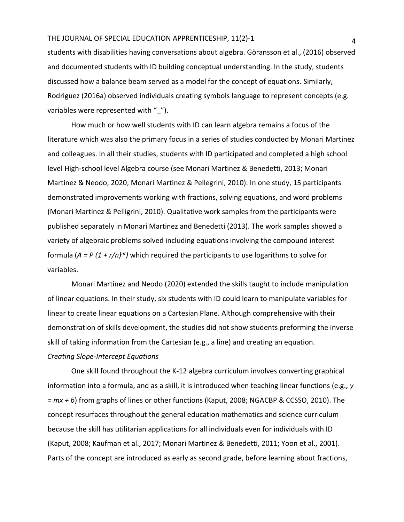students with disabilities having conversations about algebra. Göransson et al., (2016) observed and documented students with ID building conceptual understanding. In the study, students discussed how a balance beam served as a model for the concept of equations. Similarly, Rodriguez (2016a) observed individuals creating symbols language to represent concepts (e.g. variables were represented with " ").

How much or how well students with ID can learn algebra remains a focus of the literature which was also the primary focus in a series of studies conducted by Monari Martinez and colleagues. In all their studies, students with ID participated and completed a high school level High-school level Algebra course (see Monari Martinez & Benedetti, 2013; Monari Martinez & Neodo, 2020; Monari Martinez & Pellegrini, 2010). In one study, 15 participants demonstrated improvements working with fractions, solving equations, and word problems (Monari Martinez & Pelligrini, 2010). Qualitative work samples from the participants were published separately in Monari Martinez and Benedetti (2013). The work samples showed a variety of algebraic problems solved including equations involving the compound interest formula (*A = P (1 + r/n)nt)* which required the participants to use logarithms to solve for variables.

Monari Martinez and Neodo (2020) extended the skills taught to include manipulation of linear equations. In their study, six students with ID could learn to manipulate variables for linear to create linear equations on a Cartesian Plane. Although comprehensive with their demonstration of skills development, the studies did not show students preforming the inverse skill of taking information from the Cartesian (e.g., a line) and creating an equation. *Creating Slope-Intercept Equations* 

One skill found throughout the K-12 algebra curriculum involves converting graphical information into a formula, and as a skill, it is introduced when teaching linear functions (e.g*., y = mx + b*) from graphs of lines or other functions (Kaput, 2008; NGACBP & CCSSO, 2010). The concept resurfaces throughout the general education mathematics and science curriculum because the skill has utilitarian applications for all individuals even for individuals with ID (Kaput, 2008; Kaufman et al., 2017; Monari Martinez & Benedetti, 2011; Yoon et al., 2001). Parts of the concept are introduced as early as second grade, before learning about fractions,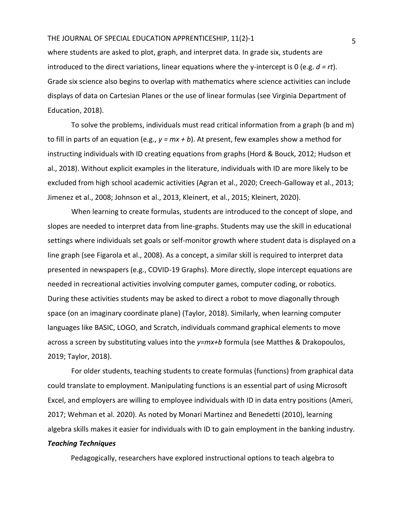where students are asked to plot, graph, and interpret data. In grade six, students are introduced to the direct variations, linear equations where the y-intercept is 0 (e.g. *d = rt*). Grade six science also begins to overlap with mathematics where science activities can include displays of data on Cartesian Planes or the use of linear formulas (see Virginia Department of Education, 2018).

To solve the problems, individuals must read critical information from a graph (b and m) to fill in parts of an equation (e.g., *y = mx + b*). At present, few examples show a method for instructing individuals with ID creating equations from graphs (Hord & Bouck, 2012; Hudson et al., 2018). Without explicit examples in the literature, individuals with ID are more likely to be excluded from high school academic activities (Agran et al., 2020; Creech-Galloway et al., 2013; Jimenez et al., 2008; Johnson et al., 2013, Kleinert, et al., 2015; Kleinert, 2020).

When learning to create formulas, students are introduced to the concept of slope, and slopes are needed to interpret data from line-graphs. Students may use the skill in educational settings where individuals set goals or self-monitor growth where student data is displayed on a line graph (see Figarola et al., 2008). As a concept, a similar skill is required to interpret data presented in newspapers (e.g., COVID-19 Graphs). More directly, slope intercept equations are needed in recreational activities involving computer games, computer coding, or robotics. During these activities students may be asked to direct a robot to move diagonally through space (on an imaginary coordinate plane) (Taylor, 2018). Similarly, when learning computer languages like BASIC, LOGO, and Scratch, individuals command graphical elements to move across a screen by substituting values into the *y=mx+b* formula (see Matthes & Drakopoulos, 2019; Taylor, 2018).

For older students, teaching students to create formulas (functions) from graphical data could translate to employment. Manipulating functions is an essential part of using Microsoft Excel, and employers are willing to employee individuals with ID in data entry positions (Ameri, 2017; Wehman et al. 2020). As noted by Monari Martinez and Benedetti (2010), learning algebra skills makes it easier for individuals with ID to gain employment in the banking industry. *Teaching Techniques* 

Pedagogically, researchers have explored instructional options to teach algebra to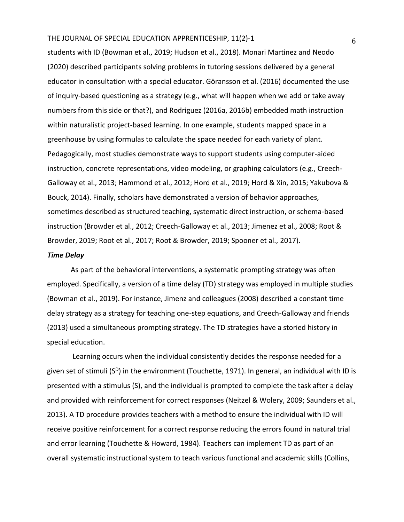students with ID (Bowman et al., 2019; Hudson et al., 2018). Monari Martinez and Neodo (2020) described participants solving problems in tutoring sessions delivered by a general educator in consultation with a special educator. Göransson et al. (2016) documented the use of inquiry-based questioning as a strategy (e.g., what will happen when we add or take away numbers from this side or that?), and Rodriguez (2016a, 2016b) embedded math instruction within naturalistic project-based learning. In one example, students mapped space in a greenhouse by using formulas to calculate the space needed for each variety of plant. Pedagogically, most studies demonstrate ways to support students using computer-aided instruction, concrete representations, video modeling, or graphing calculators (e.g., Creech-Galloway et al., 2013; Hammond et al., 2012; Hord et al., 2019; Hord & Xin, 2015; Yakubova & Bouck, 2014). Finally, scholars have demonstrated a version of behavior approaches, sometimes described as structured teaching, systematic direct instruction, or schema-based instruction (Browder et al., 2012; Creech-Galloway et al., 2013; Jimenez et al., 2008; Root & Browder, 2019; Root et al., 2017; Root & Browder, 2019; Spooner et al., 2017).

#### *Time Delay*

As part of the behavioral interventions, a systematic prompting strategy was often employed. Specifically, a version of a time delay (TD) strategy was employed in multiple studies (Bowman et al., 2019). For instance, Jimenz and colleagues (2008) described a constant time delay strategy as a strategy for teaching one-step equations, and Creech-Galloway and friends (2013) used a simultaneous prompting strategy. The TD strategies have a storied history in special education.

Learning occurs when the individual consistently decides the response needed for a given set of stimuli (S<sup>D</sup>) in the environment (Touchette, 1971). In general, an individual with ID is presented with a stimulus (S), and the individual is prompted to complete the task after a delay and provided with reinforcement for correct responses (Neitzel & Wolery, 2009; Saunders et al., 2013). A TD procedure provides teachers with a method to ensure the individual with ID will receive positive reinforcement for a correct response reducing the errors found in natural trial and error learning (Touchette & Howard, 1984). Teachers can implement TD as part of an overall systematic instructional system to teach various functional and academic skills (Collins,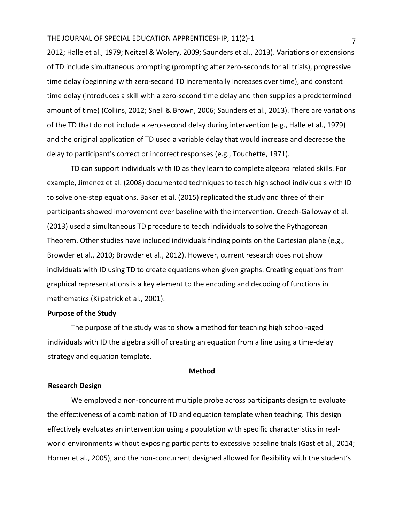2012; Halle et al., 1979; Neitzel & Wolery, 2009; Saunders et al., 2013). Variations or extensions of TD include simultaneous prompting (prompting after zero-seconds for all trials), progressive time delay (beginning with zero-second TD incrementally increases over time), and constant time delay (introduces a skill with a zero-second time delay and then supplies a predetermined amount of time) (Collins, 2012; Snell & Brown, 2006; Saunders et al., 2013). There are variations of the TD that do not include a zero-second delay during intervention (e.g., Halle et al., 1979) and the original application of TD used a variable delay that would increase and decrease the delay to participant's correct or incorrect responses (e.g., Touchette, 1971).

TD can support individuals with ID as they learn to complete algebra related skills. For example, Jimenez et al. (2008) documented techniques to teach high school individuals with ID to solve one-step equations. Baker et al. (2015) replicated the study and three of their participants showed improvement over baseline with the intervention. Creech-Galloway et al. (2013) used a simultaneous TD procedure to teach individuals to solve the Pythagorean Theorem. Other studies have included individuals finding points on the Cartesian plane (e.g., Browder et al., 2010; Browder et al., 2012). However, current research does not show individuals with ID using TD to create equations when given graphs. Creating equations from graphical representations is a key element to the encoding and decoding of functions in mathematics (Kilpatrick et al., 2001).

#### **Purpose of the Study**

The purpose of the study was to show a method for teaching high school-aged individuals with ID the algebra skill of creating an equation from a line using a time-delay strategy and equation template.

#### **Method**

#### **Research Design**

We employed a non-concurrent multiple probe across participants design to evaluate the effectiveness of a combination of TD and equation template when teaching. This design effectively evaluates an intervention using a population with specific characteristics in realworld environments without exposing participants to excessive baseline trials (Gast et al., 2014; Horner et al., 2005), and the non-concurrent designed allowed for flexibility with the student's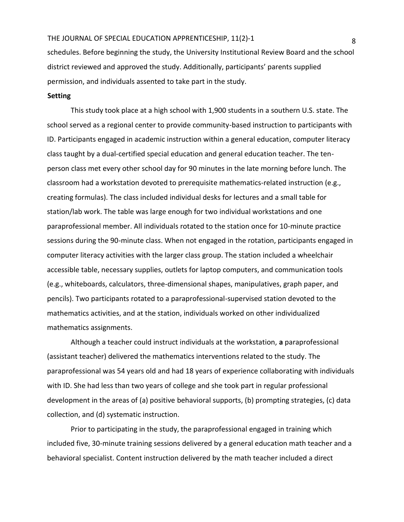schedules. Before beginning the study, the University Institutional Review Board and the school district reviewed and approved the study. Additionally, participants' parents supplied permission, and individuals assented to take part in the study.

#### **Setting**

This study took place at a high school with 1,900 students in a southern U.S. state. The school served as a regional center to provide community-based instruction to participants with ID. Participants engaged in academic instruction within a general education, computer literacy class taught by a dual-certified special education and general education teacher. The tenperson class met every other school day for 90 minutes in the late morning before lunch. The classroom had a workstation devoted to prerequisite mathematics-related instruction (e.g., creating formulas). The class included individual desks for lectures and a small table for station/lab work. The table was large enough for two individual workstations and one paraprofessional member. All individuals rotated to the station once for 10-minute practice sessions during the 90-minute class. When not engaged in the rotation, participants engaged in computer literacy activities with the larger class group. The station included a wheelchair accessible table, necessary supplies, outlets for laptop computers, and communication tools (e.g., whiteboards, calculators, three-dimensional shapes, manipulatives, graph paper, and pencils). Two participants rotated to a paraprofessional-supervised station devoted to the mathematics activities, and at the station, individuals worked on other individualized mathematics assignments.

Although a teacher could instruct individuals at the workstation, **a** paraprofessional (assistant teacher) delivered the mathematics interventions related to the study. The paraprofessional was 54 years old and had 18 years of experience collaborating with individuals with ID. She had less than two years of college and she took part in regular professional development in the areas of (a) positive behavioral supports, (b) prompting strategies, (c) data collection, and (d) systematic instruction.

Prior to participating in the study, the paraprofessional engaged in training which included five, 30-minute training sessions delivered by a general education math teacher and a behavioral specialist. Content instruction delivered by the math teacher included a direct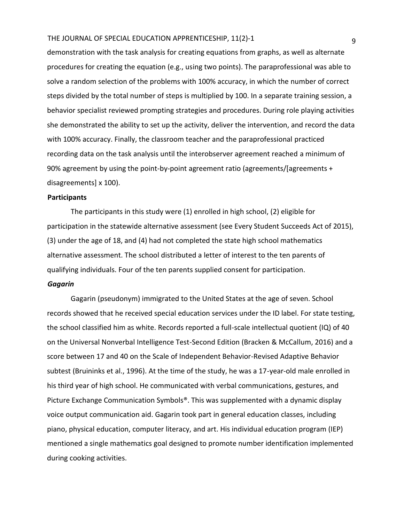demonstration with the task analysis for creating equations from graphs, as well as alternate procedures for creating the equation (e.g., using two points). The paraprofessional was able to solve a random selection of the problems with 100% accuracy, in which the number of correct steps divided by the total number of steps is multiplied by 100. In a separate training session, a behavior specialist reviewed prompting strategies and procedures. During role playing activities she demonstrated the ability to set up the activity, deliver the intervention, and record the data with 100% accuracy. Finally, the classroom teacher and the paraprofessional practiced recording data on the task analysis until the interobserver agreement reached a minimum of 90% agreement by using the point-by-point agreement ratio (agreements/[agreements + disagreements] x 100).

#### **Participants**

The participants in this study were (1) enrolled in high school, (2) eligible for participation in the statewide alternative assessment (see Every Student Succeeds Act of 2015), (3) under the age of 18, and (4) had not completed the state high school mathematics alternative assessment. The school distributed a letter of interest to the ten parents of qualifying individuals. Four of the ten parents supplied consent for participation.

#### *Gagarin*

Gagarin (pseudonym) immigrated to the United States at the age of seven. School records showed that he received special education services under the ID label. For state testing, the school classified him as white. Records reported a full-scale intellectual quotient (IQ) of 40 on the Universal Nonverbal Intelligence Test-Second Edition (Bracken & McCallum, 2016) and a score between 17 and 40 on the Scale of Independent Behavior-Revised Adaptive Behavior subtest (Bruininks et al., 1996). At the time of the study, he was a 17-year-old male enrolled in his third year of high school. He communicated with verbal communications, gestures, and Picture Exchange Communication Symbols®. This was supplemented with a dynamic display voice output communication aid. Gagarin took part in general education classes, including piano, physical education, computer literacy, and art. His individual education program (IEP) mentioned a single mathematics goal designed to promote number identification implemented during cooking activities.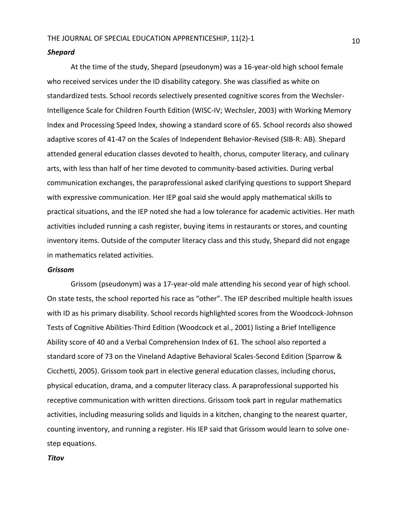#### *Shepard*

At the time of the study, Shepard (pseudonym) was a 16-year-old high school female who received services under the ID disability category. She was classified as white on standardized tests. School records selectively presented cognitive scores from the Wechsler-Intelligence Scale for Children Fourth Edition (WISC-IV; Wechsler, 2003) with Working Memory Index and Processing Speed Index, showing a standard score of 65. School records also showed adaptive scores of 41-47 on the Scales of Independent Behavior-Revised (SIB-R: AB). Shepard attended general education classes devoted to health, chorus, computer literacy, and culinary arts, with less than half of her time devoted to community-based activities. During verbal communication exchanges, the paraprofessional asked clarifying questions to support Shepard with expressive communication. Her IEP goal said she would apply mathematical skills to practical situations, and the IEP noted she had a low tolerance for academic activities. Her math activities included running a cash register, buying items in restaurants or stores, and counting inventory items. Outside of the computer literacy class and this study, Shepard did not engage in mathematics related activities.

#### *Grissom*

Grissom (pseudonym) was a 17-year-old male attending his second year of high school. On state tests, the school reported his race as "other". The IEP described multiple health issues with ID as his primary disability. School records highlighted scores from the Woodcock-Johnson Tests of Cognitive Abilities-Third Edition (Woodcock et al., 2001) listing a Brief Intelligence Ability score of 40 and a Verbal Comprehension Index of 61. The school also reported a standard score of 73 on the Vineland Adaptive Behavioral Scales-Second Edition (Sparrow & Cicchetti, 2005). Grissom took part in elective general education classes, including chorus, physical education, drama, and a computer literacy class. A paraprofessional supported his receptive communication with written directions. Grissom took part in regular mathematics activities, including measuring solids and liquids in a kitchen, changing to the nearest quarter, counting inventory, and running a register. His IEP said that Grissom would learn to solve onestep equations.

*Titov*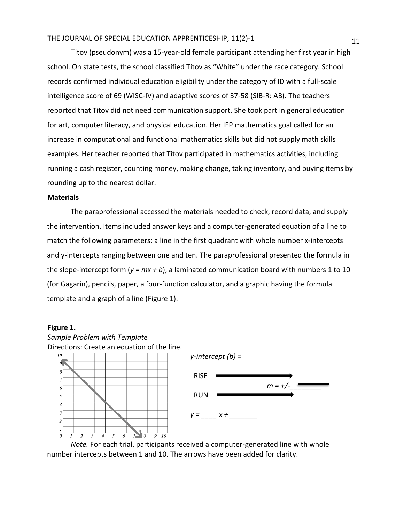Titov (pseudonym) was a 15-year-old female participant attending her first year in high school. On state tests, the school classified Titov as "White" under the race category. School records confirmed individual education eligibility under the category of ID with a full-scale intelligence score of 69 (WISC-IV) and adaptive scores of 37-58 (SIB-R: AB). The teachers reported that Titov did not need communication support. She took part in general education for art, computer literacy, and physical education. Her IEP mathematics goal called for an increase in computational and functional mathematics skills but did not supply math skills examples. Her teacher reported that Titov participated in mathematics activities, including running a cash register, counting money, making change, taking inventory, and buying items by rounding up to the nearest dollar.

#### **Materials**

The paraprofessional accessed the materials needed to check, record data, and supply the intervention. Items included answer keys and a computer-generated equation of a line to match the following parameters: a line in the first quadrant with whole number x-intercepts and y-intercepts ranging between one and ten. The paraprofessional presented the formula in the slope-intercept form  $(y = mx + b)$ , a laminated communication board with numbers 1 to 10 (for Gagarin), pencils, paper, a four-function calculator, and a graphic having the formula template and a graph of a line (Figure 1).

#### **Figure 1.**



*Note.* For each trial, participants received a computer-generated line with whole number intercepts between 1 and 10. The arrows have been added for clarity.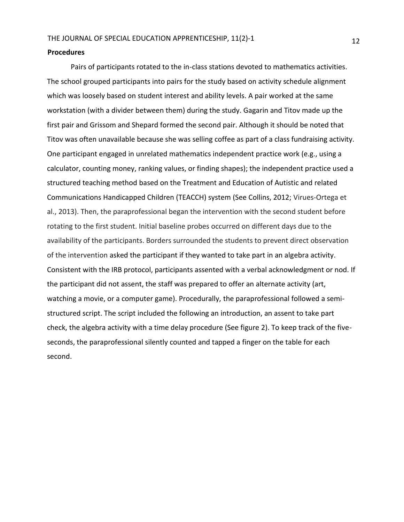#### **Procedures**

Pairs of participants rotated to the in-class stations devoted to mathematics activities. The school grouped participants into pairs for the study based on activity schedule alignment which was loosely based on student interest and ability levels. A pair worked at the same workstation (with a divider between them) during the study. Gagarin and Titov made up the first pair and Grissom and Shepard formed the second pair. Although it should be noted that Titov was often unavailable because she was selling coffee as part of a class fundraising activity. One participant engaged in unrelated mathematics independent practice work (e.g., using a calculator, counting money, ranking values, or finding shapes); the independent practice used a structured teaching method based on the Treatment and Education of Autistic and related Communications Handicapped Children (TEACCH) system (See Collins, 2012; Virues-Ortega et al., 2013). Then, the paraprofessional began the intervention with the second student before rotating to the first student. Initial baseline probes occurred on different days due to the availability of the participants. Borders surrounded the students to prevent direct observation of the intervention asked the participant if they wanted to take part in an algebra activity. Consistent with the IRB protocol, participants assented with a verbal acknowledgment or nod. If the participant did not assent, the staff was prepared to offer an alternate activity (art, watching a movie, or a computer game). Procedurally, the paraprofessional followed a semistructured script. The script included the following an introduction, an assent to take part check, the algebra activity with a time delay procedure (See figure 2). To keep track of the fiveseconds, the paraprofessional silently counted and tapped a finger on the table for each second.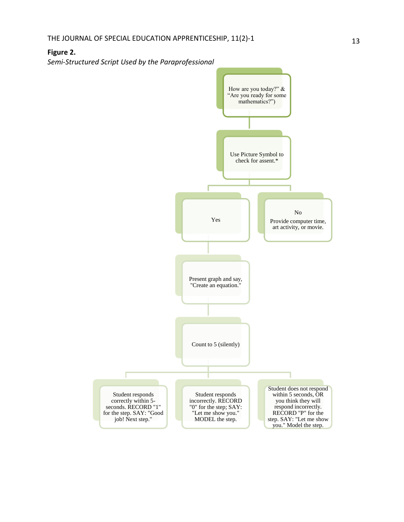## **Figure 2.**

*Semi-Structured Script Used by the Paraprofessional*

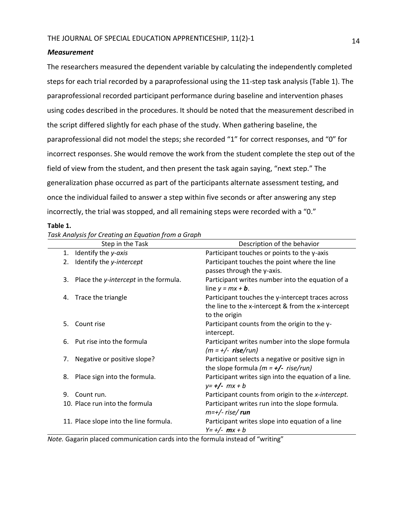#### *Measurement*

The researchers measured the dependent variable by calculating the independently completed steps for each trial recorded by a paraprofessional using the 11-step task analysis (Table 1). The paraprofessional recorded participant performance during baseline and intervention phases using codes described in the procedures. It should be noted that the measurement described in the script differed slightly for each phase of the study. When gathering baseline, the paraprofessional did not model the steps; she recorded "1" for correct responses, and "0" for incorrect responses. She would remove the work from the student complete the step out of the field of view from the student, and then present the task again saying, "next step." The generalization phase occurred as part of the participants alternate assessment testing, and once the individual failed to answer a step within five seconds or after answering any step incorrectly, the trial was stopped, and all remaining steps were recorded with a "0."

#### **Table 1.**

| ask hilarysis for creating an Equation from a Graph |                                        |                                                      |
|-----------------------------------------------------|----------------------------------------|------------------------------------------------------|
|                                                     | Step in the Task                       | Description of the behavior                          |
| 1.                                                  | Identify the y-axis                    | Participant touches or points to the y-axis          |
| 2.                                                  | Identify the y-intercept               | Participant touches the point where the line         |
|                                                     |                                        | passes through the y-axis.                           |
| 3.                                                  | Place the y-intercept in the formula.  | Participant writes number into the equation of a     |
|                                                     |                                        | line $y = mx + b$ .                                  |
| 4.                                                  | Trace the triangle                     | Participant touches the y-intercept traces across    |
|                                                     |                                        | the line to the x-intercept & from the x-intercept   |
|                                                     |                                        | to the origin                                        |
| 5.                                                  | Count rise                             | Participant counts from the origin to the y-         |
|                                                     |                                        | intercept.                                           |
| 6.                                                  | Put rise into the formula              | Participant writes number into the slope formula     |
|                                                     |                                        | $(m = +/-$ rise/run)                                 |
| 7.                                                  | Negative or positive slope?            | Participant selects a negative or positive sign in   |
|                                                     |                                        | the slope formula $(m = +/-$ rise/run)               |
| 8.                                                  | Place sign into the formula.           | Participant writes sign into the equation of a line. |
|                                                     |                                        | $y = +/-$ mx + b                                     |
| 9.                                                  | Count run.                             | Participant counts from origin to the x-intercept.   |
|                                                     | 10. Place run into the formula         | Participant writes run into the slope formula.       |
|                                                     |                                        | $m=+/$ - rise/run                                    |
|                                                     | 11. Place slope into the line formula. | Participant writes slope into equation of a line     |
|                                                     |                                        | $Y = +/- mx + b$                                     |

*Task Analysis for Creating an Equation from a Graph*

*Note.* Gagarin placed communication cards into the formula instead of "writing"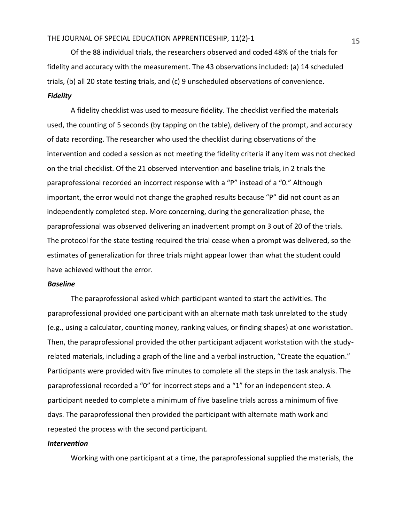Of the 88 individual trials, the researchers observed and coded 48% of the trials for fidelity and accuracy with the measurement. The 43 observations included: (a) 14 scheduled trials, (b) all 20 state testing trials, and (c) 9 unscheduled observations of convenience. *Fidelity*

A fidelity checklist was used to measure fidelity. The checklist verified the materials used, the counting of 5 seconds (by tapping on the table), delivery of the prompt, and accuracy of data recording. The researcher who used the checklist during observations of the intervention and coded a session as not meeting the fidelity criteria if any item was not checked on the trial checklist. Of the 21 observed intervention and baseline trials, in 2 trials the paraprofessional recorded an incorrect response with a "P" instead of a "0." Although important, the error would not change the graphed results because "P" did not count as an independently completed step. More concerning, during the generalization phase, the paraprofessional was observed delivering an inadvertent prompt on 3 out of 20 of the trials. The protocol for the state testing required the trial cease when a prompt was delivered, so the estimates of generalization for three trials might appear lower than what the student could have achieved without the error.

#### *Baseline*

The paraprofessional asked which participant wanted to start the activities. The paraprofessional provided one participant with an alternate math task unrelated to the study (e.g., using a calculator, counting money, ranking values, or finding shapes) at one workstation. Then, the paraprofessional provided the other participant adjacent workstation with the studyrelated materials, including a graph of the line and a verbal instruction, "Create the equation." Participants were provided with five minutes to complete all the steps in the task analysis. The paraprofessional recorded a "0" for incorrect steps and a "1" for an independent step. A participant needed to complete a minimum of five baseline trials across a minimum of five days. The paraprofessional then provided the participant with alternate math work and repeated the process with the second participant.

#### *Intervention*

Working with one participant at a time, the paraprofessional supplied the materials, the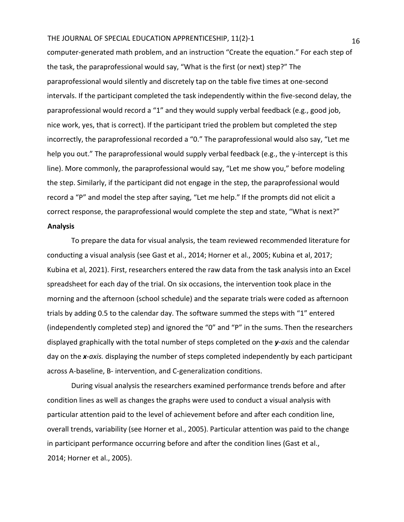computer-generated math problem, and an instruction "Create the equation." For each step of the task, the paraprofessional would say, "What is the first (or next) step?" The paraprofessional would silently and discretely tap on the table five times at one-second intervals. If the participant completed the task independently within the five-second delay, the paraprofessional would record a "1" and they would supply verbal feedback (e.g., good job, nice work, yes, that is correct). If the participant tried the problem but completed the step incorrectly, the paraprofessional recorded a "0." The paraprofessional would also say, "Let me help you out." The paraprofessional would supply verbal feedback (e.g., the y-intercept is this line). More commonly, the paraprofessional would say, "Let me show you," before modeling the step. Similarly, if the participant did not engage in the step, the paraprofessional would record a "P" and model the step after saying, "Let me help." If the prompts did not elicit a correct response, the paraprofessional would complete the step and state, "What is next?" **Analysis** 

To prepare the data for visual analysis, the team reviewed recommended literature for conducting a visual analysis (see Gast et al., 2014; Horner et al., 2005; Kubina et al, 2017; Kubina et al, 2021). First, researchers entered the raw data from the task analysis into an Excel spreadsheet for each day of the trial. On six occasions, the intervention took place in the morning and the afternoon (school schedule) and the separate trials were coded as afternoon trials by adding 0.5 to the calendar day. The software summed the steps with "1" entered (independently completed step) and ignored the "0" and "P" in the sums. Then the researchers displayed graphically with the total number of steps completed on the *y-axis* and the calendar day on the *x-axis.* displaying the number of steps completed independently by each participant across A-baseline, B- intervention, and C-generalization conditions.

During visual analysis the researchers examined performance trends before and after condition lines as well as changes the graphs were used to conduct a visual analysis with particular attention paid to the level of achievement before and after each condition line, overall trends, variability (see Horner et al., 2005). Particular attention was paid to the change in participant performance occurring before and after the condition lines (Gast et al., 2014; Horner et al., 2005).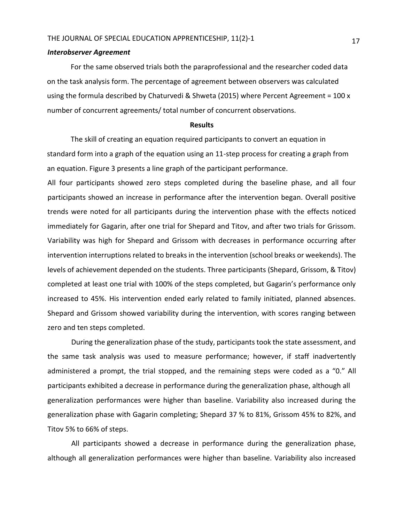#### *Interobserver Agreement*

For the same observed trials both the paraprofessional and the researcher coded data on the task analysis form. The percentage of agreement between observers was calculated using the formula described by Chaturvedi & Shweta (2015) where Percent Agreement =  $100x$ number of concurrent agreements/ total number of concurrent observations.

#### **Results**

The skill of creating an equation required participants to convert an equation in standard form into a graph of the equation using an 11-step process for creating a graph from an equation. Figure 3 presents a line graph of the participant performance.

All four participants showed zero steps completed during the baseline phase, and all four participants showed an increase in performance after the intervention began. Overall positive trends were noted for all participants during the intervention phase with the effects noticed immediately for Gagarin, after one trial for Shepard and Titov, and after two trials for Grissom. Variability was high for Shepard and Grissom with decreases in performance occurring after intervention interruptions related to breaks in the intervention (school breaks or weekends). The levels of achievement depended on the students. Three participants (Shepard, Grissom, & Titov) completed at least one trial with 100% of the steps completed, but Gagarin's performance only increased to 45%. His intervention ended early related to family initiated, planned absences. Shepard and Grissom showed variability during the intervention, with scores ranging between zero and ten steps completed.

During the generalization phase of the study, participants took the state assessment, and the same task analysis was used to measure performance; however, if staff inadvertently administered a prompt, the trial stopped, and the remaining steps were coded as a "0." All participants exhibited a decrease in performance during the generalization phase, although all generalization performances were higher than baseline. Variability also increased during the generalization phase with Gagarin completing; Shepard 37 % to 81%, Grissom 45% to 82%, and Titov 5% to 66% of steps.

All participants showed a decrease in performance during the generalization phase, although all generalization performances were higher than baseline. Variability also increased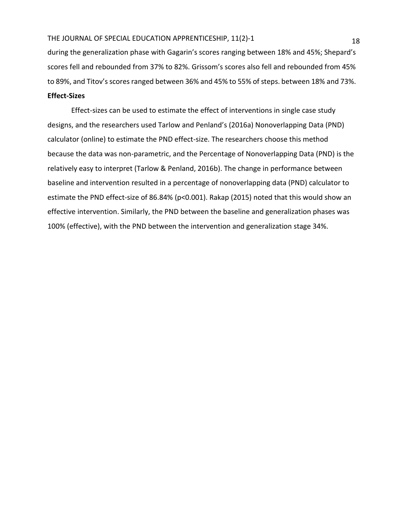during the generalization phase with Gagarin's scores ranging between 18% and 45%; Shepard's scores fell and rebounded from 37% to 82%. Grissom's scores also fell and rebounded from 45% to 89%, and Titov's scores ranged between 36% and 45% to 55% of steps. between 18% and 73%.

## **Effect-Sizes**

Effect-sizes can be used to estimate the effect of interventions in single case study designs, and the researchers used Tarlow and Penland's (2016a) Nonoverlapping Data (PND) calculator (online) to estimate the PND effect-size. The researchers choose this method because the data was non-parametric, and the Percentage of Nonoverlapping Data (PND) is the relatively easy to interpret (Tarlow & Penland, 2016b). The change in performance between baseline and intervention resulted in a percentage of nonoverlapping data (PND) calculator to estimate the PND effect-size of 86.84% (p<0.001). Rakap (2015) noted that this would show an effective intervention. Similarly, the PND between the baseline and generalization phases was 100% (effective), with the PND between the intervention and generalization stage 34%.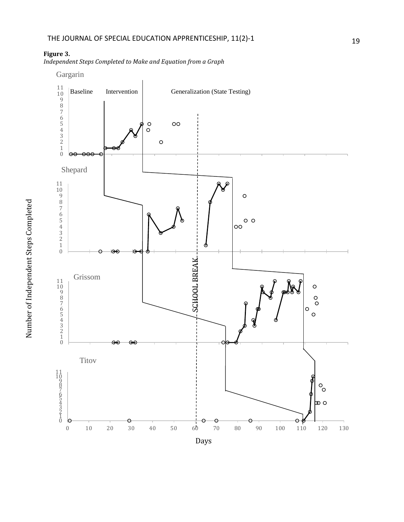**Figure 3.** 

*Independent Steps Completed to Make and Equation from a Graph* 

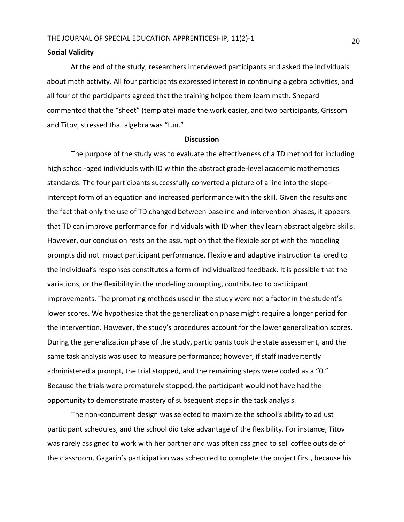#### **Social Validity**

At the end of the study, researchers interviewed participants and asked the individuals about math activity. All four participants expressed interest in continuing algebra activities, and all four of the participants agreed that the training helped them learn math. Shepard commented that the "sheet" (template) made the work easier, and two participants, Grissom and Titov, stressed that algebra was "fun."

#### **Discussion**

The purpose of the study was to evaluate the effectiveness of a TD method for including high school-aged individuals with ID within the abstract grade-level academic mathematics standards. The four participants successfully converted a picture of a line into the slopeintercept form of an equation and increased performance with the skill. Given the results and the fact that only the use of TD changed between baseline and intervention phases, it appears that TD can improve performance for individuals with ID when they learn abstract algebra skills. However, our conclusion rests on the assumption that the flexible script with the modeling prompts did not impact participant performance. Flexible and adaptive instruction tailored to the individual's responses constitutes a form of individualized feedback. It is possible that the variations, or the flexibility in the modeling prompting, contributed to participant improvements. The prompting methods used in the study were not a factor in the student's lower scores. We hypothesize that the generalization phase might require a longer period for the intervention. However, the study's procedures account for the lower generalization scores. During the generalization phase of the study, participants took the state assessment, and the same task analysis was used to measure performance; however, if staff inadvertently administered a prompt, the trial stopped, and the remaining steps were coded as a "0." Because the trials were prematurely stopped, the participant would not have had the opportunity to demonstrate mastery of subsequent steps in the task analysis.

The non-concurrent design was selected to maximize the school's ability to adjust participant schedules, and the school did take advantage of the flexibility. For instance, Titov was rarely assigned to work with her partner and was often assigned to sell coffee outside of the classroom. Gagarin's participation was scheduled to complete the project first, because his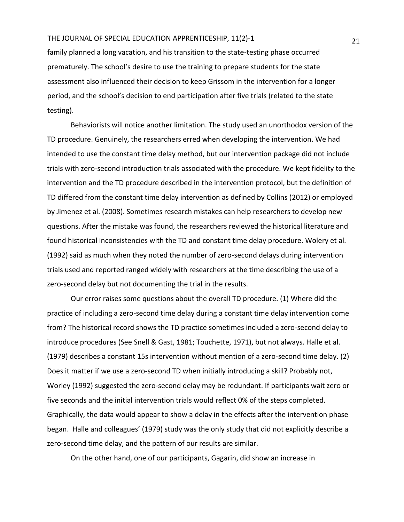family planned a long vacation, and his transition to the state-testing phase occurred prematurely. The school's desire to use the training to prepare students for the state assessment also influenced their decision to keep Grissom in the intervention for a longer period, and the school's decision to end participation after five trials (related to the state testing).

Behaviorists will notice another limitation. The study used an unorthodox version of the TD procedure. Genuinely, the researchers erred when developing the intervention. We had intended to use the constant time delay method, but our intervention package did not include trials with zero-second introduction trials associated with the procedure. We kept fidelity to the intervention and the TD procedure described in the intervention protocol, but the definition of TD differed from the constant time delay intervention as defined by Collins (2012) or employed by Jimenez et al. (2008). Sometimes research mistakes can help researchers to develop new questions. After the mistake was found, the researchers reviewed the historical literature and found historical inconsistencies with the TD and constant time delay procedure. Wolery et al. (1992) said as much when they noted the number of zero-second delays during intervention trials used and reported ranged widely with researchers at the time describing the use of a zero-second delay but not documenting the trial in the results.

Our error raises some questions about the overall TD procedure. (1) Where did the practice of including a zero-second time delay during a constant time delay intervention come from? The historical record shows the TD practice sometimes included a zero-second delay to introduce procedures (See Snell & Gast, 1981; Touchette, 1971), but not always. Halle et al. (1979) describes a constant 15s intervention without mention of a zero-second time delay. (2) Does it matter if we use a zero-second TD when initially introducing a skill? Probably not, Worley (1992) suggested the zero-second delay may be redundant. If participants wait zero or five seconds and the initial intervention trials would reflect 0% of the steps completed. Graphically, the data would appear to show a delay in the effects after the intervention phase began. Halle and colleagues' (1979) study was the only study that did not explicitly describe a zero-second time delay, and the pattern of our results are similar.

On the other hand, one of our participants, Gagarin, did show an increase in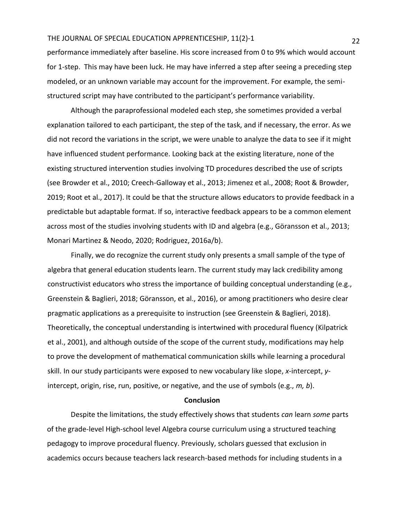performance immediately after baseline. His score increased from 0 to 9% which would account for 1-step. This may have been luck. He may have inferred a step after seeing a preceding step modeled, or an unknown variable may account for the improvement. For example, the semistructured script may have contributed to the participant's performance variability.

Although the paraprofessional modeled each step, she sometimes provided a verbal explanation tailored to each participant, the step of the task, and if necessary, the error. As we did not record the variations in the script, we were unable to analyze the data to see if it might have influenced student performance. Looking back at the existing literature, none of the existing structured intervention studies involving TD procedures described the use of scripts (see Browder et al., 2010; Creech-Galloway et al., 2013; Jimenez et al., 2008; Root & Browder, 2019; Root et al., 2017). It could be that the structure allows educators to provide feedback in a predictable but adaptable format. If so, interactive feedback appears to be a common element across most of the studies involving students with ID and algebra (e.g., Göransson et al., 2013; Monari Martinez & Neodo, 2020; Rodriguez, 2016a/b).

Finally, we do recognize the current study only presents a small sample of the type of algebra that general education students learn. The current study may lack credibility among constructivist educators who stress the importance of building conceptual understanding (e.g., Greenstein & Baglieri, 2018; Göransson, et al., 2016), or among practitioners who desire clear pragmatic applications as a prerequisite to instruction (see Greenstein & Baglieri, 2018). Theoretically, the conceptual understanding is intertwined with procedural fluency (Kilpatrick et al., 2001), and although outside of the scope of the current study, modifications may help to prove the development of mathematical communication skills while learning a procedural skill. In our study participants were exposed to new vocabulary like slope, *x*-intercept, *y*intercept, origin, rise, run, positive, or negative, and the use of symbols (e.g., *m, b*).

#### **Conclusion**

Despite the limitations, the study effectively shows that students *can* learn *some* parts of the grade-level High-school level Algebra course curriculum using a structured teaching pedagogy to improve procedural fluency. Previously, scholars guessed that exclusion in academics occurs because teachers lack research-based methods for including students in a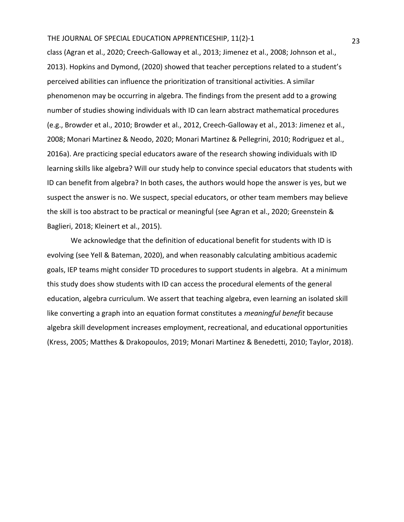class (Agran et al., 2020; Creech-Galloway et al., 2013; Jimenez et al., 2008; Johnson et al., 2013). Hopkins and Dymond, (2020) showed that teacher perceptions related to a student's perceived abilities can influence the prioritization of transitional activities. A similar phenomenon may be occurring in algebra. The findings from the present add to a growing number of studies showing individuals with ID can learn abstract mathematical procedures (e.g., Browder et al., 2010; Browder et al., 2012, Creech-Galloway et al., 2013: Jimenez et al., 2008; Monari Martinez & Neodo, 2020; Monari Martinez & Pellegrini, 2010; Rodriguez et al., 2016a). Are practicing special educators aware of the research showing individuals with ID learning skills like algebra? Will our study help to convince special educators that students with ID can benefit from algebra? In both cases, the authors would hope the answer is yes, but we suspect the answer is no. We suspect, special educators, or other team members may believe the skill is too abstract to be practical or meaningful (see Agran et al., 2020; Greenstein & Baglieri, 2018; Kleinert et al., 2015).

We acknowledge that the definition of educational benefit for students with ID is evolving (see Yell & Bateman, 2020), and when reasonably calculating ambitious academic goals, IEP teams might consider TD procedures to support students in algebra. At a minimum this study does show students with ID can access the procedural elements of the general education, algebra curriculum. We assert that teaching algebra, even learning an isolated skill like converting a graph into an equation format constitutes a *meaningful benefit* because algebra skill development increases employment, recreational, and educational opportunities (Kress, 2005; Matthes & Drakopoulos, 2019; Monari Martinez & Benedetti, 2010; Taylor, 2018).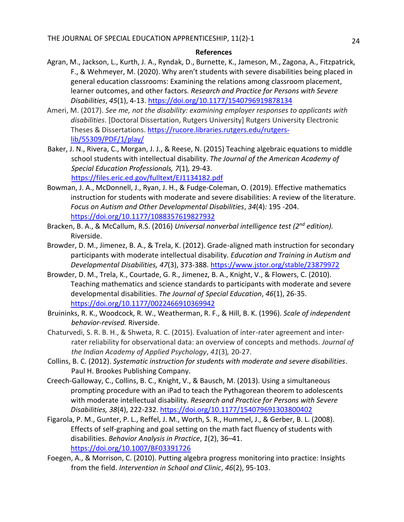## **References**

- Agran, M., Jackson, L., Kurth, J. A., Ryndak, D., Burnette, K., Jameson, M., Zagona, A., Fitzpatrick, F., & Wehmeyer, M. (2020). Why aren't students with severe disabilities being placed in general education classrooms: Examining the relations among classroom placement, learner outcomes, and other factors*. Research and Practice for Persons with Severe Disabilities*, *45*(1), 4-13.<https://doi.org/10.1177/1540796919878134>
- Ameri, M. (2017). *See me, not the disability: examining employer responses to applicants with disabilities*. [Doctoral Dissertation, Rutgers University] Rutgers University Electronic Theses & Dissertations. [https://rucore.libraries.rutgers.edu/rutgers](https://rucore.libraries.rutgers.edu/rutgers-lib/55309/PDF/1/play/)[lib/55309/PDF/1/play/](https://rucore.libraries.rutgers.edu/rutgers-lib/55309/PDF/1/play/)
- Baker, J. N., Rivera, C., Morgan, J. J., & Reese, N. (2015) Teaching algebraic equations to middle school students with intellectual disability. *The Journal of the American Academy of Special Education Professionals, 7*(1)*,* 29-43. <https://files.eric.ed.gov/fulltext/EJ1134182.pdf>
- Bowman, J. A., McDonnell, J., Ryan, J. H., & Fudge-Coleman, O. (2019). Effective mathematics instruction for students with moderate and severe disabilities: A review of the literature. *Focus on Autism and Other Developmental Disabilities*, *34*(4)*:* 195 -204. <https://doi.org/10.1177/1088357619827932>
- Bracken, B. A., & McCallum, R.S. (2016) *Universal nonverbal intelligence test (2nd edition).* Riverside.
- Browder, D. M., Jimenez, B. A., & Trela, K. (2012). Grade-aligned math instruction for secondary participants with moderate intellectual disability. *Education and Training in Autism and Developmental Disabilities, 47*(3), 373-388.<https://www.jstor.org/stable/23879972>
- Browder, D. M., Trela, K., Courtade, G. R., Jimenez, B. A., Knight, V., & Flowers, C. (2010). Teaching mathematics and science standards to participants with moderate and severe developmental disabilities. *The Journal of Special Education*, *46*(1), 26-35. <https://doi.org/10.1177/0022466910369942>
- Bruininks, R. K., Woodcock, R. W., Weatherman, R. F., & Hill, B. K. (1996). *Scale of independent behavior-revised.* Riverside.
- Chaturvedi, S. R. B. H., & Shweta, R. C. (2015). Evaluation of inter-rater agreement and interrater reliability for observational data: an overview of concepts and methods. *Journal of the Indian Academy of Applied Psychology*, *41*(3)*,* 20-27.
- Collins, B. C. (2012). *Systematic instruction for students with moderate and severe disabilities*. Paul H. Brookes Publishing Company.
- Creech-Galloway, C., Collins, B. C., Knight, V., & Bausch, M. (2013). Using a simultaneous prompting procedure with an iPad to teach the Pythagorean theorem to adolescents with moderate intellectual disability. *Research and Practice for Persons with Severe Disabilities, 38*(4), 222-232[. https://doi.org/10.1177/154079691303800402](https://doi.org/10.1177/154079691303800402)
- Figarola, P. M., Gunter, P. L., Reffel, J. M., Worth, S. R., Hummel, J., & Gerber, B. L. (2008). Effects of self-graphing and goal setting on the math fact fluency of students with disabilities. *Behavior Analysis in Practice*, *1*(2), 36–41. <https://doi.org/10.1007/BF03391726>
- Foegen, A., & Morrison, C. (2010). Putting algebra progress monitoring into practice: Insights from the field. *Intervention in School and Clinic*, *46*(2), 95-103.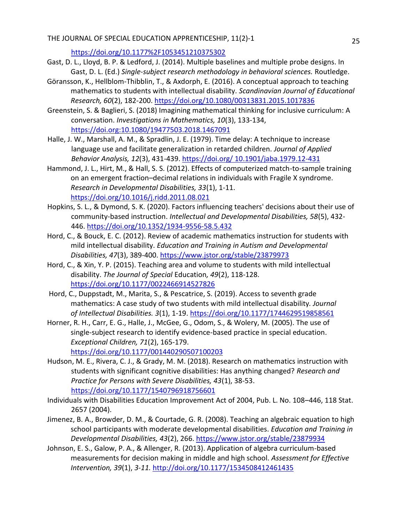<https://doi.org/10.1177%2F1053451210375302>

- Gast, D. L., Lloyd, B. P. & Ledford, J. (2014). Multiple baselines and multiple probe designs. In Gast, D. L. (Ed.) *Single-subject research methodology in behavioral sciences.* Routledge.
- Göransson, K., Hellblom-Thibblin, T., & Axdorph, E. (2016). A conceptual approach to teaching mathematics to students with intellectual disability. *Scandinavian Journal of Educational Research, 60*(2), 182-200.<https://doi.org/10.1080/00313831.2015.1017836>
- Greenstein, S. & Baglieri, S. (2018) Imagining mathematical thinking for inclusive curriculum: A conversation. *Investigations in Mathematics, 10*(3), 133-134, <https://doi.org:10.1080/19477503.2018.1467091>
- Halle, J. W., Marshall, A. M., & Spradlin, J. E. (1979). Time delay: A technique to increase language use and facilitate generalization in retarded children. *Journal of Applied Behavior Analysis, 12*(3), 431-439. https://doi.org/ [10.1901/jaba.1979.12-431](https://dx.doi.org/10.1901%2Fjaba.1979.12-431)
- Hammond, J. L., Hirt, M., & Hall, S. S. (2012). Effects of computerized match-to-sample training on an emergent fraction–decimal relations in individuals with Fragile X syndrome. *Research in Developmental Disabilities, 33*(1), 1-11. <https://doi.org/10.1016/j.ridd.2011.08.021>
- Hopkins, S. L., & Dymond, S. K. (2020). Factors influencing teachers' decisions about their use of community-based instruction. *Intellectual and Developmental Disabilities, 58*(5), 432- 446[. https://doi.org/10.1352/1934-9556-58.5.432](https://doi.org/10.1352/1934-9556-58.5.432)
- Hord, C., & Bouck, E. C. (2012). Review of academic mathematics instruction for students with mild intellectual disability. *Education and Training in Autism and Developmental Disabilities, 47*(3), 389-400[. https://www.jstor.org/stable/23879973](https://www.jstor.org/stable/23879973)
- Hord, C., & Xin, Y. P. (2015). Teaching area and volume to students with mild intellectual disability. *The Journal of Special* Education*, 49*(2), 118-128. <https://doi.org/10.1177/0022466914527826>
- Hord, C., Duppstadt, M., Marita, S., & Pescatrice, S. (2019). Access to seventh grade mathematics: A case study of two students with mild intellectual disability*. Journal of Intellectual Disabilities. 3*(1), 1-19.<https://doi.org/10.1177/1744629519858561>
- Horner, R. H., Carr, E. G., Halle, J., McGee, G., Odom, S., & Wolery, M. (2005). The use of single-subject research to identify evidence-based practice in special education. *Exceptional Children, 71*(2), 165-179. <https://doi.org/10.1177/001440290507100203>
- Hudson, M. E., Rivera, C. J., & Grady, M. M. (2018). Research on mathematics instruction with students with significant cognitive disabilities: Has anything changed? *Research and Practice for Persons with Severe Disabilities, 43*(1), 38-53. <https://doi.org/10.1177/1540796918756601>
- Individuals with Disabilities Education Improvement Act of 2004, Pub. L. No. 108–446, 118 Stat. 2657 (2004).
- Jimenez, B. A., Browder, D. M., & Courtade, G. R. (2008). Teaching an algebraic equation to high school participants with moderate developmental disabilities. *Education and Training in Developmental Disabilities, 43*(2), 266.<https://www.jstor.org/stable/23879934>
- Johnson, E. S., Galow, P. A., & Allenger, R. (2013). Application of algebra curriculum-based measurements for decision making in middle and high school. *Assessment for Effective Intervention, 39*(1), *3-11.* <http://doi.org/10.1177/1534508412461435>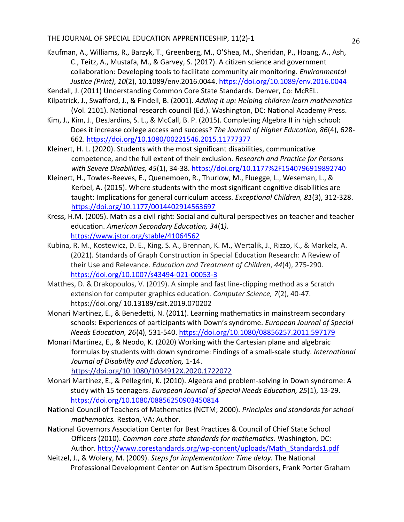- Kaufman, A., Williams, R., Barzyk, T., Greenberg, M., O'Shea, M., Sheridan, P., Hoang, A., Ash, C., Teitz, A., Mustafa, M., & Garvey, S. (2017). A citizen science and government collaboration: Developing tools to facilitate community air monitoring. *Environmental Justice (Print)*, *10*(2), 10.1089/env.2016.0044.<https://doi.org/10.1089/env.2016.0044>
- Kendall, J. (2011) Understanding Common Core State Standards. Denver, Co: McREL.
- Kilpatrick, J., Swafford, J., & Findell, B. (2001). *Adding it up: Helping children learn mathematics* (Vol. 2101). National research council (Ed.). Washington, DC: National Academy Press.
- Kim, J., Kim, J., DesJardins, S. L., & McCall, B. P. (2015). Completing Algebra II in high school: Does it increase college access and success? *The Journal of Higher Education, 86*(4), 628- 662.<https://doi.org/10.1080/00221546.2015.11777377>
- Kleinert, H. L. (2020). Students with the most significant disabilities, communicative competence, and the full extent of their exclusion. *Research and Practice for Persons with Severe Disabilities, 45*(1), 34-38.<https://doi.org/10.1177%2F1540796919892740>
- Kleinert, H., Towles-Reeves, E., Quenemoen, R., Thurlow, M., Fluegge, L., Weseman, L., & Kerbel, A. (2015). Where students with the most significant cognitive disabilities are taught: Implications for general curriculum access. *Exceptional Children, 81*(3), 312-328. <https://doi.org/10.1177/0014402914563697>
- Kress, H.M. (2005). Math as a civil right: Social and cultural perspectives on teacher and teacher education. *American Secondary Education, 34*(1*).* <https://www.jstor.org/stable/41064562>
- Kubina, R. M., Kostewicz, D. E., King, S. A., Brennan, K. M., Wertalik, J., Rizzo, K., & Markelz, A. (2021). Standards of Graph Construction in Special Education Research: A Review of their Use and Relevance. *Education and Treatment of Children*, *44*(4), 275-290. <https://doi.org/10.1007/s43494-021-00053-3>
- Matthes, D. & Drakopoulos, V. (2019). A simple and fast line-clipping method as a Scratch extension for computer graphics education. *Computer Science, 7*(2), 40-47. https://doi.org/ 10.13189/csit.2019.070202
- Monari Martinez, E., & Benedetti, N. (2011). Learning mathematics in mainstream secondary schools: Experiences of participants with Down's syndrome. *European Journal of Special Needs Education, 26*(4), 531-540.<https://doi.org/10.1080/08856257.2011.597179>
- Monari Martinez, E., & Neodo, K. (2020) Working with the Cartesian plane and algebraic formulas by students with down syndrome: Findings of a small-scale study. *International Journal of Disability and Education,* 1-14. <https://doi.org/10.1080/1034912X.2020.1722072>
- Monari Martinez, E., & Pellegrini, K. (2010). Algebra and problem‐solving in Down syndrome: A study with 15 teenagers. *European Journal of Special Needs Education, 25*(1), 13-29. <https://doi.org/10.1080/08856250903450814>
- National Council of Teachers of Mathematics (NCTM; 2000). *Principles and standards for school mathematics.* Reston, VA: Author.
- National Governors Association Center for Best Practices & Council of Chief State School Officers (2010). *Common core state standards for mathematics.* Washington, DC: Author. [http://www.corestandards.org/wp-content/uploads/Math\\_Standards1.pdf](http://www.corestandards.org/wp-content/uploads/Math_Standards1.pdf)
- Neitzel, J., & Wolery, M. (2009). *Steps for implementation: Time delay.* The National Professional Development Center on Autism Spectrum Disorders, Frank Porter Graham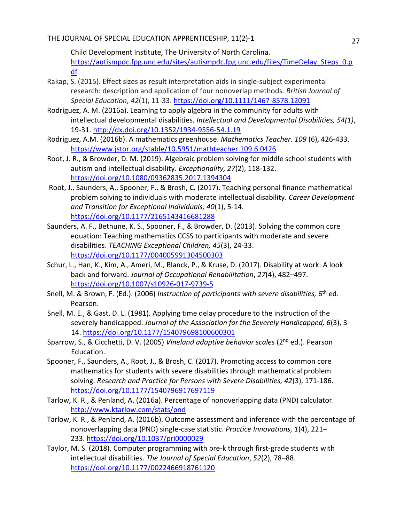Child Development Institute, The University of North Carolina. [https://autismpdc.fpg.unc.edu/sites/autismpdc.fpg.unc.edu/files/TimeDelay\\_Steps\\_0.p](https://autismpdc.fpg.unc.edu/sites/autismpdc.fpg.unc.edu/files/TimeDelay_Steps_0.pdf) [df](https://autismpdc.fpg.unc.edu/sites/autismpdc.fpg.unc.edu/files/TimeDelay_Steps_0.pdf)

- Rakap, S. (2015). Effect sizes as result interpretation aids in single‐subject experimental research: description and application of four nonoverlap methods. *British Journal of Special Education*, *42*(1), 11-33. <https://doi.org/10.1111/1467-8578.12091>
- Rodriguez, A. M. (2016a). Learning to apply algebra in the community for adults with intellectual developmental disabilities. *Intellectual and Developmental Disabilities, 54(1)*, 19-31.<http://dx.doi.org/10.1352/1934-9556-54.1.19>
- Rodriguez, A.M. (2016b). A mathematics greenhouse. *Mathematics Teacher. 109* (6), 426-433. <https://www.jstor.org/stable/10.5951/mathteacher.109.6.0426>
- Root, J. R., & Browder, D. M. (2019). Algebraic problem solving for middle school students with autism and intellectual disability. *Exceptionality, 27*(2), 118-132. <https://doi.org/10.1080/09362835.2017.1394304>
- Root, J., Saunders, A., Spooner, F., & Brosh, C. (2017). Teaching personal finance mathematical problem solving to individuals with moderate intellectual disability. *Career Development and Transition for Exceptional Individuals, 40*(1), 5-14. <https://doi.org/10.1177/2165143416681288>
- Saunders, A. F., Bethune, K. S., Spooner, F., & Browder, D. (2013). Solving the common core equation: Teaching mathematics CCSS to participants with moderate and severe disabilities. *TEACHING Exceptional Children, 45*(3), 24-33. <https://doi.org/10.1177/004005991304500303>
- Schur, L., Han, K., Kim, A., Ameri, M., Blanck, P., & Kruse, D. (2017). Disability at work: A look back and forward. *Journal of Occupational Rehabilitation*, *27*(4), 482–497. <https://doi.org/10.1007/s10926-017-9739-5>
- Snell, M. & Brown, F. (Ed.). (2006) *Instruction of participants with severe disabilities,* 6<sup>th</sup> ed. Pearson.
- Snell, M. E., & Gast, D. L. (1981). Applying time delay procedure to the instruction of the severely handicapped. *Journal of the Association for the Severely Handicapped, 6*(3), 3- 14[. https://doi.org/10.1177/154079698100600301](https://doi.org/10.1177/154079698100600301)
- Sparrow, S., & Cicchetti, D. V. (2005) *Vineland adaptive behavior scales* (2nd ed.). Pearson Education.
- Spooner, F., Saunders, A., Root, J., & Brosh, C. (2017). Promoting access to common core mathematics for students with severe disabilities through mathematical problem solving. *Research and Practice for Persons with Severe Disabilities, 42*(3), 171-186. <https://doi.org/10.1177/1540796917697119>
- Tarlow, K. R., & Penland, A. (2016a). Percentage of nonoverlapping data (PND) calculator. <http://www.ktarlow.com/stats/pnd>
- Tarlow, K. R., & Penland, A. (2016b). Outcome assessment and inference with the percentage of nonoverlapping data (PND) single-case statistic. *Practice Innovations, 1*(4), 221– 233. <https://doi.org/10.1037/pri0000029>
- Taylor, M. S. (2018). Computer programming with pre-k through first-grade students with intellectual disabilities. *The Journal of Special Education*, *52*(2), 78–88. <https://doi.org/10.1177/0022466918761120>